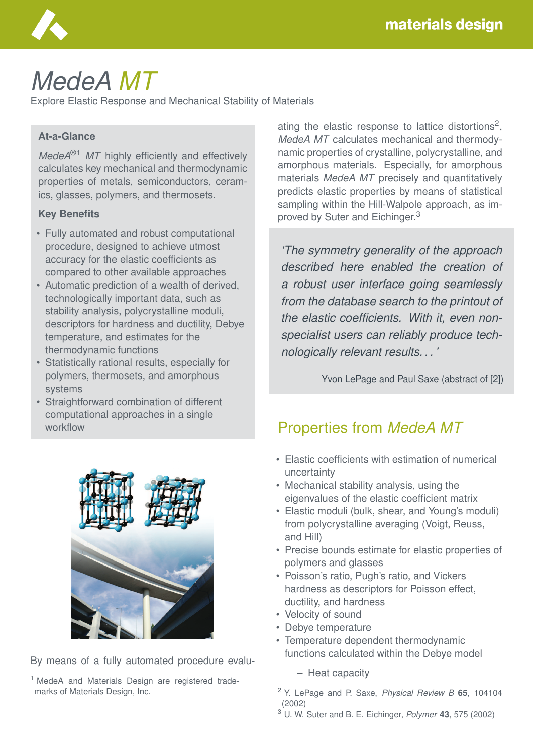

# *MedeA MT*

Explore Elastic Response and Mechanical Stability of Materials

#### **At-a-Glance**

*MedeA*<sup>®1</sup> *MT* highly efficiently and effectively calculates key mechanical and thermodynamic properties of metals, semiconductors, ceramics, glasses, polymers, and thermosets.

#### **Key Benefits**

- Fully automated and robust computational procedure, designed to achieve utmost accuracy for the elastic coefficients as compared to other available approaches
- Automatic prediction of a wealth of derived, technologically important data, such as stability analysis, polycrystalline moduli, descriptors for hardness and ductility, Debye temperature, and estimates for the thermodynamic functions
- Statistically rational results, especially for polymers, thermosets, and amorphous systems
- Straightforward combination of different computational approaches in a single workflow



By means of a fully automated procedure evalu-

ating the elastic response to lattice distortions<sup>2</sup>, *MedeA MT* calculates mechanical and thermodynamic properties of crystalline, polycrystalline, and amorphous materials. Especially, for amorphous materials *MedeA MT* precisely and quantitatively predicts elastic properties by means of statistical sampling within the Hill-Walpole approach, as improved by Suter and Eichinger.<sup>3</sup>

*'The symmetry generality of the approach described here enabled the creation of a robust user interface going seamlessly from the database search to the printout of the elastic coefficients. With it, even nonspecialist users can reliably produce technologically relevant results. . . '*

Yvon LePage and Paul Saxe (abstract of [2])

### Properties from *MedeA MT*

- Elastic coefficients with estimation of numerical uncertainty
- Mechanical stability analysis, using the eigenvalues of the elastic coefficient matrix
- Elastic moduli (bulk, shear, and Young's moduli) from polycrystalline averaging (Voigt, Reuss, and Hill)
- Precise bounds estimate for elastic properties of polymers and glasses
- Poisson's ratio, Pugh's ratio, and Vickers hardness as descriptors for Poisson effect, ductility, and hardness
- Velocity of sound
- Debye temperature
- Temperature dependent thermodynamic functions calculated within the Debye model

**–** Heat capacity

<sup>3</sup> U. W. Suter and B. E. Eichinger, *Polymer* **43**, 575 (2002)

<sup>&</sup>lt;sup>1</sup> MedeA and Materials Design are registered trademarks of Materials Design, Inc.

<sup>2</sup> Y. LePage and P. Saxe, *Physical Review B* **65**, 104104 (2002)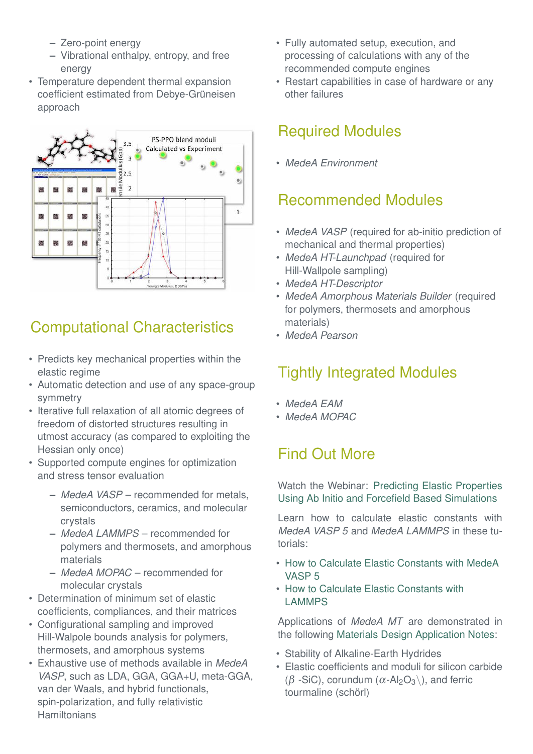- **–** Zero-point energy
- **–** Vibrational enthalpy, entropy, and free energy
- Temperature dependent thermal expansion coefficient estimated from Debye-Grüneisen approach



# Computational Characteristics

- Predicts key mechanical properties within the elastic regime
- Automatic detection and use of any space-group symmetry
- Iterative full relaxation of all atomic degrees of freedom of distorted structures resulting in utmost accuracy (as compared to exploiting the Hessian only once)
- Supported compute engines for optimization and stress tensor evaluation
	- **–** *MedeA VASP* recommended for metals, semiconductors, ceramics, and molecular crystals
	- **–** *MedeA LAMMPS* recommended for polymers and thermosets, and amorphous materials
	- **–** *MedeA MOPAC* recommended for molecular crystals
- Determination of minimum set of elastic coefficients, compliances, and their matrices
- Configurational sampling and improved Hill-Walpole bounds analysis for polymers, thermosets, and amorphous systems
- Exhaustive use of methods available in *MedeA VASP*, such as LDA, GGA, GGA+U, meta-GGA, van der Waals, and hybrid functionals, spin-polarization, and fully relativistic **Hamiltonians**
- Fully automated setup, execution, and processing of calculations with any of the recommended compute engines
- Restart capabilities in case of hardware or any other failures

### Required Modules

• *MedeA Environment*

#### Recommended Modules

- *MedeA VASP* (required for ab-initio prediction of mechanical and thermal properties)
- *MedeA HT-Launchpad* (required for Hill-Wallpole sampling)
- *MedeA HT-Descriptor*
- *MedeA Amorphous Materials Builder* (required for polymers, thermosets and amorphous materials)
- *MedeA Pearson*

# Tightly Integrated Modules

- *MedeA EAM*
- *MedeA MOPAC*

## Find Out More

Watch the Webinar: [Predicting Elastic Properties](https://register.gotowebinar.com/rt/3715577834352542978?source=webinar+page) [Using Ab Initio and Forcefield Based Simulations](https://register.gotowebinar.com/rt/3715577834352542978?source=webinar+page)

Learn how to calculate elastic constants with *MedeA VASP 5* and *MedeA LAMMPS* in these tutorials:

- [How to Calculate Elastic Constants with MedeA](https://www.youtube.com/watch?v=uLhk24dKqak&list=PLLBgcUXT9VCfVCwImc9FNSxnGhjHGU6Le) [VASP 5](https://www.youtube.com/watch?v=uLhk24dKqak&list=PLLBgcUXT9VCfVCwImc9FNSxnGhjHGU6Le)
- [How to Calculate Elastic Constants with](https://www.youtube.com/watch?v=uzFnHASMS60) [LAMMPS](https://www.youtube.com/watch?v=uzFnHASMS60)

Applications of *MedeA MT* are demonstrated in the following [Materials Design Application Notes:](https://www.materialsdesign.com/all-application-notes)

- Stability of Alkaline-Earth Hydrides
- Elastic coefficients and moduli for silicon carbide ( $\beta$  -SiC), corundum ( $\alpha$ -Al<sub>2</sub>O<sub>3</sub>\), and ferric tourmaline (schörl)